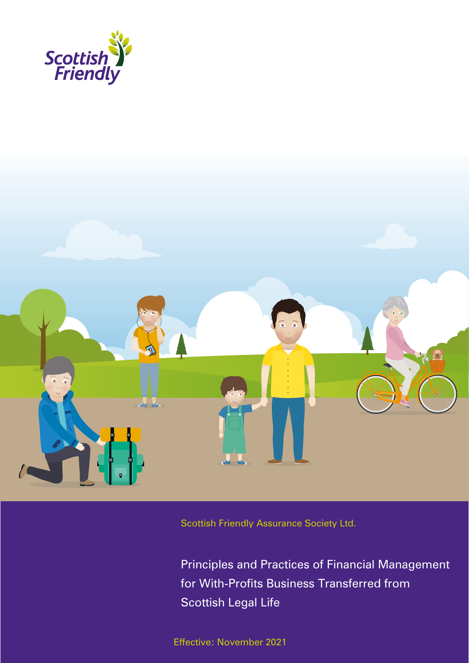



Scottish Friendly Assurance Society Ltd.

Principles and Practices of Financial Management for With-Profits Business Transferred from Scottish Legal Life

Effective: November 2021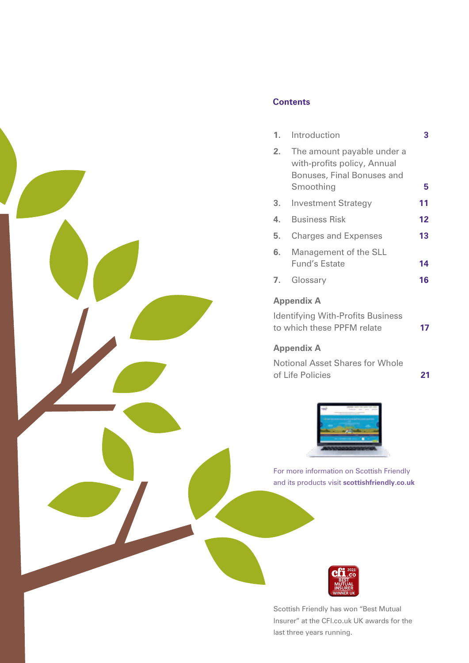

## **Contents**

|                   | 1. Introduction                                                                                      | 3  |  |
|-------------------|------------------------------------------------------------------------------------------------------|----|--|
| 2.                | The amount payable under a<br>with-profits policy, Annual<br>Bonuses, Final Bonuses and<br>Smoothing | 5  |  |
|                   |                                                                                                      |    |  |
| 3.                | <b>Investment Strategy</b>                                                                           | 11 |  |
| 4.                | <b>Business Risk</b>                                                                                 | 12 |  |
| 5.                | <b>Charges and Expenses</b>                                                                          | 13 |  |
| 6.                | Management of the SLL                                                                                |    |  |
|                   | <b>Fund's Estate</b>                                                                                 | 14 |  |
|                   | 7. Glossary                                                                                          | 16 |  |
| <b>Appendix A</b> |                                                                                                      |    |  |

Identifying With-Profits Business to which these PPFM relate **17**

## **Appendix A**

Notional Asset Shares for Whole of Life Policies **21**



For more information on Scottish Friendly and its products visit **scottishfriendly.co.uk** 



Scottish Friendly has won "Best Mutual Insurer" at the CFI.co.uk UK awards for the last three years running.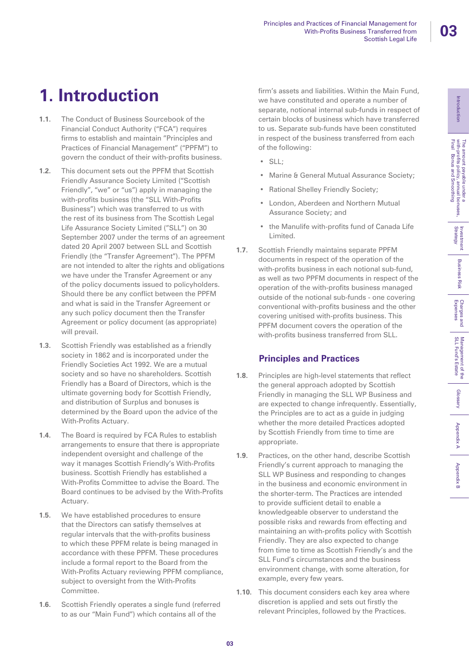# **1. Introduction**

- **1.1.** The Conduct of Business Sourcebook of the Financial Conduct Authority ("FCA") requires firms to establish and maintain "Principles and Practices of Financial Management" ("PPFM") to govern the conduct of their with-profits business.
- **1.2.** This document sets out the PPFM that Scottish Friendly Assurance Society Limited ("Scottish Friendly", "we" or "us") apply in managing the with-profits business (the "SLL With-Profits Business") which was transferred to us with the rest of its business from The Scottish Legal Life Assurance Society Limited ("SLL") on 30 September 2007 under the terms of an agreement dated 20 April 2007 between SLL and Scottish Friendly (the "Transfer Agreement"). The PPFM are not intended to alter the rights and obligations we have under the Transfer Agreement or any of the policy documents issued to policyholders. Should there be any conflict between the PPFM and what is said in the Transfer Agreement or any such policy document then the Transfer Agreement or policy document (as appropriate) will prevail.
- **1.3.** Scottish Friendly was established as a friendly society in 1862 and is incorporated under the Friendly Societies Act 1992. We are a mutual society and so have no shareholders. Scottish Friendly has a Board of Directors, which is the ultimate governing body for Scottish Friendly, and distribution of Surplus and bonuses is determined by the Board upon the advice of the With-Profits Actuary.
- **1.4.** The Board is required by FCA Rules to establish arrangements to ensure that there is appropriate independent oversight and challenge of the way it manages Scottish Friendly's With-Profits business. Scottish Friendly has established a With-Profits Committee to advise the Board. The Board continues to be advised by the With-Profits Actuary.
- **1.5.** We have established procedures to ensure that the Directors can satisfy themselves at regular intervals that the with-profits business to which these PPFM relate is being managed in accordance with these PPFM. These procedures include a formal report to the Board from the With-Profits Actuary reviewing PPFM compliance, subject to oversight from the With-Profits Committee.
- **1.6.** Scottish Friendly operates a single fund (referred to as our "Main Fund") which contains all of the

firm's assets and liabilities. Within the Main Fund, we have constituted and operate a number of separate, notional internal sub-funds in respect of certain blocks of business which have transferred to us. Separate sub-funds have been constituted in respect of the business transferred from each of the following:

- SLL;
- Marine & General Mutual Assurance Society;
- Rational Shelley Friendly Society;
- London, Aberdeen and Northern Mutual Assurance Society; and
- the Manulife with-profits fund of Canada Life Limited.
- **1.7.** Scottish Friendly maintains separate PPFM documents in respect of the operation of the with-profits business in each notional sub-fund, as well as two PPFM documents in respect of the operation of the with-profits business managed outside of the notional sub-funds - one covering conventional with-profits business and the other covering unitised with-profits business. This PPFM document covers the operation of the with-profits business transferred from SLL.

## **Principles and Practices**

- **1.8.** Principles are high-level statements that reflect the general approach adopted by Scottish Friendly in managing the SLL WP Business and are expected to change infrequently. Essentially, the Principles are to act as a guide in judging whether the more detailed Practices adopted by Scottish Friendly from time to time are appropriate.
- **1.9.** Practices, on the other hand, describe Scottish Friendly's current approach to managing the SLL WP Business and responding to changes in the business and economic environment in the shorter-term. The Practices are intended to provide sufficient detail to enable a knowledgeable observer to understand the possible risks and rewards from effecting and maintaining an with-profits policy with Scottish Friendly. They are also expected to change from time to time as Scottish Friendly's and the SLL Fund's circumstances and the business environment change, with some alteration, for example, every few years.
- **1.10.** This document considers each key area where discretion is applied and sets out firstly the relevant Principles, followed by the Practices.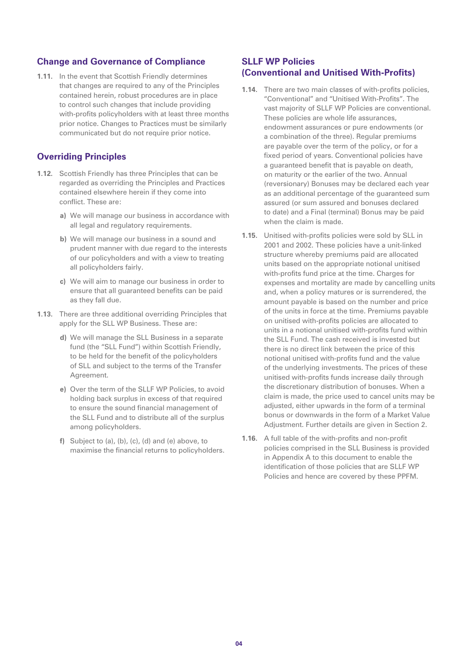### **Change and Governance of Compliance**

**1.11.** In the event that Scottish Friendly determines that changes are required to any of the Principles contained herein, robust procedures are in place to control such changes that include providing with-profits policyholders with at least three months prior notice. Changes to Practices must be similarly communicated but do not require prior notice.

### **Overriding Principles**

- **1.12.** Scottish Friendly has three Principles that can be regarded as overriding the Principles and Practices contained elsewhere herein if they come into conflict. These are:
	- **a)** We will manage our business in accordance with all legal and regulatory requirements.
	- **b)** We will manage our business in a sound and prudent manner with due regard to the interests of our policyholders and with a view to treating all policyholders fairly.
	- **c)** We will aim to manage our business in order to ensure that all guaranteed benefits can be paid as they fall due.
- **1.13.** There are three additional overriding Principles that apply for the SLL WP Business. These are:
	- **d)** We will manage the SLL Business in a separate fund (the "SLL Fund") within Scottish Friendly, to be held for the benefit of the policyholders of SLL and subject to the terms of the Transfer Agreement.
	- **e)** Over the term of the SLLF WP Policies, to avoid holding back surplus in excess of that required to ensure the sound financial management of the SLL Fund and to distribute all of the surplus among policyholders.
	- **f)** Subject to (a), (b), (c), (d) and (e) above, to maximise the financial returns to policyholders.

### **SLLF WP Policies (Conventional and Unitised With-Profits)**

- **1.14.** There are two main classes of with-profits policies, "Conventional" and "Unitised With-Profits". The vast majority of SLLF WP Policies are conventional. These policies are whole life assurances, endowment assurances or pure endowments (or a combination of the three). Regular premiums are payable over the term of the policy, or for a fixed period of years. Conventional policies have a guaranteed benefit that is payable on death, on maturity or the earlier of the two. Annual (reversionary) Bonuses may be declared each year as an additional percentage of the guaranteed sum assured (or sum assured and bonuses declared to date) and a Final (terminal) Bonus may be paid when the claim is made.
- **1.15.** Unitised with-profits policies were sold by SLL in 2001 and 2002. These policies have a unit-linked structure whereby premiums paid are allocated units based on the appropriate notional unitised with-profits fund price at the time. Charges for expenses and mortality are made by cancelling units and, when a policy matures or is surrendered, the amount payable is based on the number and price of the units in force at the time. Premiums payable on unitised with-profits policies are allocated to units in a notional unitised with-profits fund within the SLL Fund. The cash received is invested but there is no direct link between the price of this notional unitised with-profits fund and the value of the underlying investments. The prices of these unitised with-profits funds increase daily through the discretionary distribution of bonuses. When a claim is made, the price used to cancel units may be adjusted, either upwards in the form of a terminal bonus or downwards in the form of a Market Value Adjustment. Further details are given in Section 2.
- **1.16.** A full table of the with-profits and non-profit policies comprised in the SLL Business is provided in Appendix A to this document to enable the identification of those policies that are SLLF WP Policies and hence are covered by these PPFM.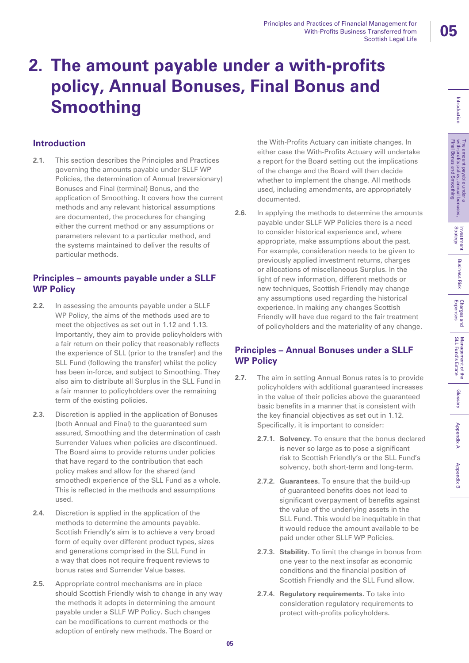# **2. The amount payable under a with-profits policy, Annual Bonuses, Final Bonus and Smoothing**

## **Introduction**

**2.1.** This section describes the Principles and Practices governing the amounts payable under SLLF WP Policies, the determination of Annual (reversionary) Bonuses and Final (terminal) Bonus, and the application of Smoothing. It covers how the current methods and any relevant historical assumptions are documented, the procedures for changing either the current method or any assumptions or parameters relevant to a particular method, and the systems maintained to deliver the results of particular methods.

## **Principles – amounts payable under a SLLF WP Policy**

- **2.2.** In assessing the amounts payable under a SLLF WP Policy, the aims of the methods used are to meet the objectives as set out in 1.12 and 1.13. Importantly, they aim to provide policyholders with a fair return on their policy that reasonably reflects the experience of SLL (prior to the transfer) and the SLL Fund (following the transfer) whilst the policy has been in-force, and subject to Smoothing. They also aim to distribute all Surplus in the SLL Fund in a fair manner to policyholders over the remaining term of the existing policies.
- **2.3.** Discretion is applied in the application of Bonuses (both Annual and Final) to the guaranteed sum assured, Smoothing and the determination of cash Surrender Values when policies are discontinued. The Board aims to provide returns under policies that have regard to the contribution that each policy makes and allow for the shared (and smoothed) experience of the SLL Fund as a whole. This is reflected in the methods and assumptions used.
- **2.4.** Discretion is applied in the application of the methods to determine the amounts payable. Scottish Friendly's aim is to achieve a very broad form of equity over different product types, sizes and generations comprised in the SLL Fund in a way that does not require frequent reviews to bonus rates and Surrender Value bases.
- **2.5.** Appropriate control mechanisms are in place should Scottish Friendly wish to change in any way the methods it adopts in determining the amount payable under a SLLF WP Policy. Such changes can be modifications to current methods or the adoption of entirely new methods. The Board or

the With-Profits Actuary can initiate changes. In either case the With-Profits Actuary will undertake a report for the Board setting out the implications of the change and the Board will then decide whether to implement the change. All methods used, including amendments, are appropriately documented.

**2.6.** In applying the methods to determine the amounts payable under SLLF WP Policies there is a need to consider historical experience and, where appropriate, make assumptions about the past. For example, consideration needs to be given to previously applied investment returns, charges or allocations of miscellaneous Surplus. In the light of new information, different methods or new techniques, Scottish Friendly may change any assumptions used regarding the historical experience. In making any changes Scottish Friendly will have due regard to the fair treatment of policyholders and the materiality of any change.

## **Principles – Annual Bonuses under a SLLF WP Policy**

- **2.7.** The aim in setting Annual Bonus rates is to provide policyholders with additional guaranteed increases in the value of their policies above the guaranteed basic benefits in a manner that is consistent with the key financial objectives as set out in 1.12. Specifically, it is important to consider:
	- **2.7.1. Solvency.** To ensure that the bonus declared is never so large as to pose a significant risk to Scottish Friendly's or the SLL Fund's solvency, both short-term and long-term.
	- **2.7.2. Guarantees.** To ensure that the build-up of guaranteed benefits does not lead to significant overpayment of benefits against the value of the underlying assets in the SLL Fund. This would be inequitable in that it would reduce the amount available to be paid under other SLLF WP Policies.
	- **2.7.3. Stability.** To limit the change in bonus from one year to the next insofar as economic conditions and the financial position of Scottish Friendly and the SLL Fund allow.
	- **2.7.4. Regulatory requirements.** To take into consideration regulatory requirements to protect with-profits policyholders.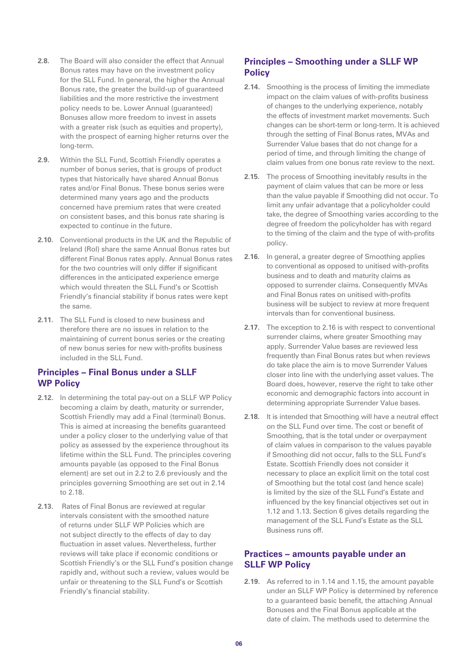- **2.8.** The Board will also consider the effect that Annual Bonus rates may have on the investment policy for the SLL Fund. In general, the higher the Annual Bonus rate, the greater the build-up of guaranteed liabilities and the more restrictive the investment policy needs to be. Lower Annual (guaranteed) Bonuses allow more freedom to invest in assets with a greater risk (such as equities and property), with the prospect of earning higher returns over the long-term.
- **2.9.** Within the SLL Fund, Scottish Friendly operates a number of bonus series, that is groups of product types that historically have shared Annual Bonus rates and/or Final Bonus. These bonus series were determined many years ago and the products concerned have premium rates that were created on consistent bases, and this bonus rate sharing is expected to continue in the future.
- **2.10.** Conventional products in the UK and the Republic of Ireland (RoI) share the same Annual Bonus rates but different Final Bonus rates apply. Annual Bonus rates for the two countries will only differ if significant differences in the anticipated experience emerge which would threaten the SLL Fund's or Scottish Friendly's financial stability if bonus rates were kept the same.
- **2.11.** The SLL Fund is closed to new business and therefore there are no issues in relation to the maintaining of current bonus series or the creating of new bonus series for new with-profits business included in the SLL Fund.

## **Principles – Final Bonus under a SLLF WP Policy**

- **2.12.** In determining the total pay-out on a SLLF WP Policy becoming a claim by death, maturity or surrender, Scottish Friendly may add a Final (terminal) Bonus. This is aimed at increasing the benefits guaranteed under a policy closer to the underlying value of that policy as assessed by the experience throughout its lifetime within the SLL Fund. The principles covering amounts payable (as opposed to the Final Bonus element) are set out in 2.2 to 2.6 previously and the principles governing Smoothing are set out in 2.14 to 2.18.
- **2.13.** Rates of Final Bonus are reviewed at regular intervals consistent with the smoothed nature of returns under SLLF WP Policies which are not subject directly to the effects of day to day fluctuation in asset values. Nevertheless, further reviews will take place if economic conditions or Scottish Friendly's or the SLL Fund's position change rapidly and, without such a review, values would be unfair or threatening to the SLL Fund's or Scottish Friendly's financial stability.

### **Principles – Smoothing under a SLLF WP Policy**

- **2.14.** Smoothing is the process of limiting the immediate impact on the claim values of with-profits business of changes to the underlying experience, notably the effects of investment market movements. Such changes can be short-term or long-term. It is achieved through the setting of Final Bonus rates, MVAs and Surrender Value bases that do not change for a period of time, and through limiting the change of claim values from one bonus rate review to the next.
- **2.15.** The process of Smoothing inevitably results in the payment of claim values that can be more or less than the value payable if Smoothing did not occur. To limit any unfair advantage that a policyholder could take, the degree of Smoothing varies according to the degree of freedom the policyholder has with regard to the timing of the claim and the type of with-profits policy.
- **2.16.** In general, a greater degree of Smoothing applies to conventional as opposed to unitised with-profits business and to death and maturity claims as opposed to surrender claims. Consequently MVAs and Final Bonus rates on unitised with-profits business will be subject to review at more frequent intervals than for conventional business.
- **2.17.** The exception to 2.16 is with respect to conventional surrender claims, where greater Smoothing may apply. Surrender Value bases are reviewed less frequently than Final Bonus rates but when reviews do take place the aim is to move Surrender Values closer into line with the underlying asset values. The Board does, however, reserve the right to take other economic and demographic factors into account in determining appropriate Surrender Value bases.
- **2.18.** It is intended that Smoothing will have a neutral effect on the SLL Fund over time. The cost or benefit of Smoothing, that is the total under or overpayment of claim values in comparison to the values payable if Smoothing did not occur, falls to the SLL Fund's Estate. Scottish Friendly does not consider it necessary to place an explicit limit on the total cost of Smoothing but the total cost (and hence scale) is limited by the size of the SLL Fund's Estate and influenced by the key financial objectives set out in 1.12 and 1.13. Section 6 gives details regarding the management of the SLL Fund's Estate as the SLL Business runs off.

### **Practices – amounts payable under an SLLF WP Policy**

**2.19.** As referred to in 1.14 and 1.15, the amount payable under an SLLF WP Policy is determined by reference to a guaranteed basic benefit, the attaching Annual Bonuses and the Final Bonus applicable at the date of claim. The methods used to determine the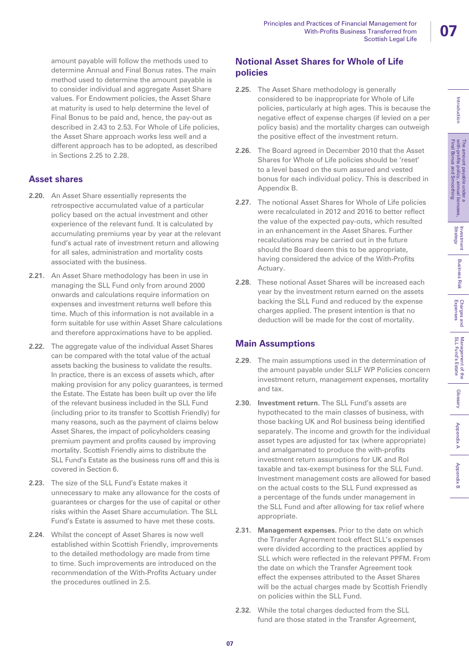amount payable will follow the methods used to determine Annual and Final Bonus rates. The main method used to determine the amount payable is to consider individual and aggregate Asset Share values. For Endowment policies, the Asset Share at maturity is used to help determine the level of Final Bonus to be paid and, hence, the pay-out as described in 2.43 to 2.53. For Whole of Life policies, the Asset Share approach works less well and a different approach has to be adopted, as described in Sections 2.25 to 2.28.

## **Asset shares**

- **2.20.** An Asset Share essentially represents the retrospective accumulated value of a particular policy based on the actual investment and other experience of the relevant fund. It is calculated by accumulating premiums year by year at the relevant fund's actual rate of investment return and allowing for all sales, administration and mortality costs associated with the business.
- **2.21.** An Asset Share methodology has been in use in managing the SLL Fund only from around 2000 onwards and calculations require information on expenses and investment returns well before this time. Much of this information is not available in a form suitable for use within Asset Share calculations and therefore approximations have to be applied.
- **2.22.** The aggregate value of the individual Asset Shares can be compared with the total value of the actual assets backing the business to validate the results. In practice, there is an excess of assets which, after making provision for any policy guarantees, is termed the Estate. The Estate has been built up over the life of the relevant business included in the SLL Fund (including prior to its transfer to Scottish Friendly) for many reasons, such as the payment of claims below Asset Shares, the impact of policyholders ceasing premium payment and profits caused by improving mortality. Scottish Friendly aims to distribute the SLL Fund's Estate as the business runs off and this is covered in Section 6.
- **2.23.** The size of the SLL Fund's Estate makes it unnecessary to make any allowance for the costs of guarantees or charges for the use of capital or other risks within the Asset Share accumulation. The SLL Fund's Estate is assumed to have met these costs.
- **2.24**. Whilst the concept of Asset Shares is now well established within Scottish Friendly, improvements to the detailed methodology are made from time to time. Such improvements are introduced on the recommendation of the With-Profits Actuary under the procedures outlined in 2.5.

## **Notional Asset Shares for Whole of Life policies**

- **2.25.** The Asset Share methodology is generally considered to be inappropriate for Whole of Life policies, particularly at high ages. This is because the negative effect of expense charges (if levied on a per policy basis) and the mortality charges can outweigh the positive effect of the investment return.
- **2.26.** The Board agreed in December 2010 that the Asset Shares for Whole of Life policies should be 'reset' to a level based on the sum assured and vested bonus for each individual policy. This is described in Appendix B.
- **2.27.** The notional Asset Shares for Whole of Life policies were recalculated in 2012 and 2016 to better reflect the value of the expected pay-outs, which resulted in an enhancement in the Asset Shares. Further recalculations may be carried out in the future should the Board deem this to be appropriate, having considered the advice of the With-Profits Actuary.
- **2.28.** These notional Asset Shares will be increased each year by the investment return earned on the assets backing the SLL Fund and reduced by the expense charges applied. The present intention is that no deduction will be made for the cost of mortality.

## **Main Assumptions**

- **2.29.** The main assumptions used in the determination of the amount payable under SLLF WP Policies concern investment return, management expenses, mortality and tax.
- **2.30. Investment return.** The SLL Fund's assets are hypothecated to the main classes of business, with those backing UK and RoI business being identified separately. The income and growth for the individual asset types are adjusted for tax (where appropriate) and amalgamated to produce the with-profits investment return assumptions for UK and RoI taxable and tax-exempt business for the SLL Fund. Investment management costs are allowed for based on the actual costs to the SLL Fund expressed as a percentage of the funds under management in the SLL Fund and after allowing for tax relief where appropriate.
- **2.31. Management expenses.** Prior to the date on which the Transfer Agreement took effect SLL's expenses were divided according to the practices applied by SLL which were reflected in the relevant PPFM. From the date on which the Transfer Agreement took effect the expenses attributed to the Asset Shares will be the actual charges made by Scottish Friendly on policies within the SLL Fund.
- **2.32.** While the total charges deducted from the SLL fund are those stated in the Transfer Agreement,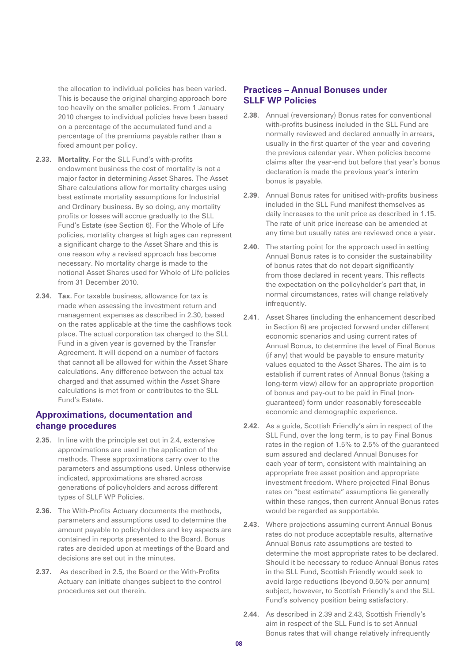the allocation to individual policies has been varied. This is because the original charging approach bore too heavily on the smaller policies. From 1 January 2010 charges to individual policies have been based on a percentage of the accumulated fund and a percentage of the premiums payable rather than a fixed amount per policy.

- **2.33. Mortality.** For the SLL Fund's with-profits endowment business the cost of mortality is not a major factor in determining Asset Shares. The Asset Share calculations allow for mortality charges using best estimate mortality assumptions for Industrial and Ordinary business. By so doing, any mortality profits or losses will accrue gradually to the SLL Fund's Estate (see Section 6). For the Whole of Life policies, mortality charges at high ages can represent a significant charge to the Asset Share and this is one reason why a revised approach has become necessary. No mortality charge is made to the notional Asset Shares used for Whole of Life policies from 31 December 2010.
- **2.34. Tax.** For taxable business, allowance for tax is made when assessing the investment return and management expenses as described in 2.30, based on the rates applicable at the time the cashflows took place. The actual corporation tax charged to the SLL Fund in a given year is governed by the Transfer Agreement. It will depend on a number of factors that cannot all be allowed for within the Asset Share calculations. Any difference between the actual tax charged and that assumed within the Asset Share calculations is met from or contributes to the SLL Fund's Estate.

### **Approximations, documentation and change procedures**

- **2.35.** In line with the principle set out in 2.4, extensive approximations are used in the application of the methods. These approximations carry over to the parameters and assumptions used. Unless otherwise indicated, approximations are shared across generations of policyholders and across different types of SLLF WP Policies.
- **2.36.** The With-Profits Actuary documents the methods, parameters and assumptions used to determine the amount payable to policyholders and key aspects are contained in reports presented to the Board. Bonus rates are decided upon at meetings of the Board and decisions are set out in the minutes.
- **2.37.** As described in 2.5, the Board or the With-Profits Actuary can initiate changes subject to the control procedures set out therein.

### **Practices – Annual Bonuses under SLLF WP Policies**

- **2.38.** Annual (reversionary) Bonus rates for conventional with-profits business included in the SLL Fund are normally reviewed and declared annually in arrears, usually in the first quarter of the year and covering the previous calendar year. When policies become claims after the year-end but before that year's bonus declaration is made the previous year's interim bonus is payable.
- **2.39.** Annual Bonus rates for unitised with-profits business included in the SLL Fund manifest themselves as daily increases to the unit price as described in 1.15. The rate of unit price increase can be amended at any time but usually rates are reviewed once a year.
- **2.40.** The starting point for the approach used in setting Annual Bonus rates is to consider the sustainability of bonus rates that do not depart significantly from those declared in recent years. This reflects the expectation on the policyholder's part that, in normal circumstances, rates will change relatively infrequently.
- **2.41.** Asset Shares (including the enhancement described in Section 6) are projected forward under different economic scenarios and using current rates of Annual Bonus, to determine the level of Final Bonus (if any) that would be payable to ensure maturity values equated to the Asset Shares. The aim is to establish if current rates of Annual Bonus (taking a long-term view) allow for an appropriate proportion of bonus and pay-out to be paid in Final (nonguaranteed) form under reasonably foreseeable economic and demographic experience.
- **2.42.** As a guide, Scottish Friendly's aim in respect of the SLL Fund, over the long term, is to pay Final Bonus rates in the region of 1.5% to 2.5% of the guaranteed sum assured and declared Annual Bonuses for each year of term, consistent with maintaining an appropriate free asset position and appropriate investment freedom. Where projected Final Bonus rates on "best estimate" assumptions lie generally within these ranges, then current Annual Bonus rates would be regarded as supportable.
- **2.43.** Where projections assuming current Annual Bonus rates do not produce acceptable results, alternative Annual Bonus rate assumptions are tested to determine the most appropriate rates to be declared. Should it be necessary to reduce Annual Bonus rates in the SLL Fund, Scottish Friendly would seek to avoid large reductions (beyond 0.50% per annum) subject, however, to Scottish Friendly's and the SLL Fund's solvency position being satisfactory.
- **2.44.** As described in 2.39 and 2.43, Scottish Friendly's aim in respect of the SLL Fund is to set Annual Bonus rates that will change relatively infrequently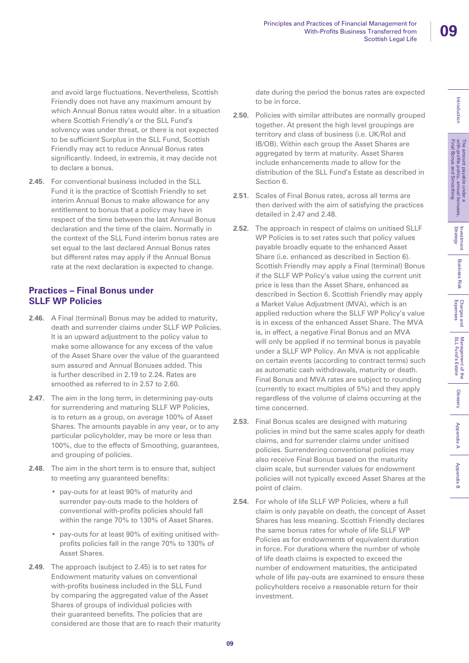Introduction

and avoid large fluctuations. Nevertheless, Scottish Friendly does not have any maximum amount by which Annual Bonus rates would alter. In a situation where Scottish Friendly's or the SLL Fund's solvency was under threat, or there is not expected to be sufficient Surplus in the SLL Fund, Scottish Friendly may act to reduce Annual Bonus rates significantly. Indeed, in extremis, it may decide not to declare a bonus.

**2.45.** For conventional business included in the SLL Fund it is the practice of Scottish Friendly to set interim Annual Bonus to make allowance for any entitlement to bonus that a policy may have in respect of the time between the last Annual Bonus declaration and the time of the claim. Normally in the context of the SLL Fund interim bonus rates are set equal to the last declared Annual Bonus rates but different rates may apply if the Annual Bonus rate at the next declaration is expected to change.

## **Practices – Final Bonus under SLLF WP Policies**

- **2.46.** A Final (terminal) Bonus may be added to maturity, death and surrender claims under SLLF WP Policies. It is an upward adjustment to the policy value to make some allowance for any excess of the value of the Asset Share over the value of the guaranteed sum assured and Annual Bonuses added. This is further described in 2.19 to 2.24. Rates are smoothed as referred to in 2.57 to 2.60.
- **2.47.** The aim in the long term, in determining pay-outs for surrendering and maturing SLLF WP Policies, is to return as a group, on average 100% of Asset Shares. The amounts payable in any year, or to any particular policyholder, may be more or less than 100%, due to the effects of Smoothing, guarantees, and grouping of policies.
- **2.48.** The aim in the short term is to ensure that, subject to meeting any guaranteed benefits:
	- pay-outs for at least 90% of maturity and surrender pay-outs made to the holders of conventional with-profits policies should fall within the range 70% to 130% of Asset Shares.
	- pay-outs for at least 90% of exiting unitised withprofits policies fall in the range 70% to 130% of Asset Shares.
- **2.49.** The approach (subject to 2.45) is to set rates for Endowment maturity values on conventional with-profits business included in the SLL Fund by comparing the aggregated value of the Asset Shares of groups of individual policies with their guaranteed benefits. The policies that are considered are those that are to reach their maturity

date during the period the bonus rates are expected to be in force.

- **2.50.** Policies with similar attributes are normally grouped together. At present the high level groupings are territory and class of business (i.e. UK/RoI and IB/OB). Within each group the Asset Shares are aggregated by term at maturity. Asset Shares include enhancements made to allow for the distribution of the SLL Fund's Estate as described in Section 6.
- **2.51.** Scales of Final Bonus rates, across all terms are then derived with the aim of satisfying the practices detailed in 2.47 and 2.48.
- **2.52.** The approach in respect of claims on unitised SLLF WP Policies is to set rates such that policy values payable broadly equate to the enhanced Asset Share (i.e. enhanced as described in Section 6). Scottish Friendly may apply a Final (terminal) Bonus if the SLLF WP Policy's value using the current unit price is less than the Asset Share, enhanced as described in Section 6. Scottish Friendly may apply a Market Value Adjustment (MVA), which is an applied reduction where the SLLF WP Policy's value is in excess of the enhanced Asset Share. The MVA is, in effect, a negative Final Bonus and an MVA will only be applied if no terminal bonus is payable under a SLLF WP Policy. An MVA is not applicable on certain events (according to contract terms) such as automatic cash withdrawals, maturity or death. Final Bonus and MVA rates are subject to rounding (currently to exact multiples of 5%) and they apply regardless of the volume of claims occurring at the time concerned.
- **2.53.** Final Bonus scales are designed with maturing policies in mind but the same scales apply for death claims, and for surrender claims under unitised policies. Surrendering conventional policies may also receive Final Bonus based on the maturity claim scale, but surrender values for endowment policies will not typically exceed Asset Shares at the point of claim.
- **2.54.** For whole of life SLLF WP Policies, where a full claim is only payable on death, the concept of Asset Shares has less meaning. Scottish Friendly declares the same bonus rates for whole of life SLLF WP Policies as for endowments of equivalent duration in force. For durations where the number of whole of life death claims is expected to exceed the number of endowment maturities, the anticipated whole of life pay-outs are examined to ensure these policyholders receive a reasonable return for their investment.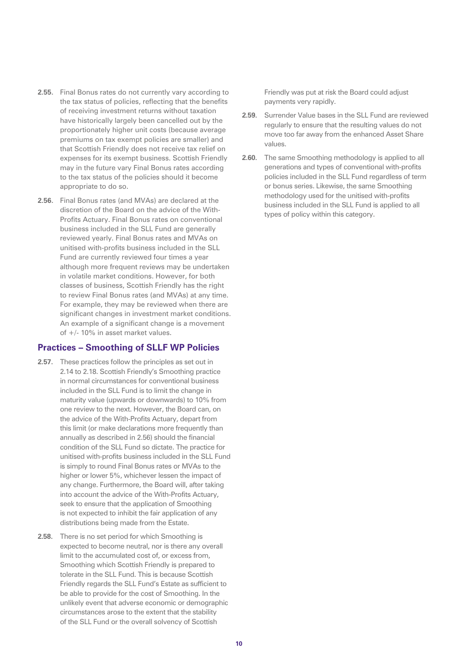- **2.55.** Final Bonus rates do not currently vary according to the tax status of policies, reflecting that the benefits of receiving investment returns without taxation have historically largely been cancelled out by the proportionately higher unit costs (because average premiums on tax exempt policies are smaller) and that Scottish Friendly does not receive tax relief on expenses for its exempt business. Scottish Friendly may in the future vary Final Bonus rates according to the tax status of the policies should it become appropriate to do so.
- **2.56.** Final Bonus rates (and MVAs) are declared at the discretion of the Board on the advice of the With-Profits Actuary. Final Bonus rates on conventional business included in the SLL Fund are generally reviewed yearly. Final Bonus rates and MVAs on unitised with-profits business included in the SLL Fund are currently reviewed four times a year although more frequent reviews may be undertaken in volatile market conditions. However, for both classes of business, Scottish Friendly has the right to review Final Bonus rates (and MVAs) at any time. For example, they may be reviewed when there are significant changes in investment market conditions. An example of a significant change is a movement of +/- 10% in asset market values.

### **Practices – Smoothing of SLLF WP Policies**

- **2.57.** These practices follow the principles as set out in 2.14 to 2.18. Scottish Friendly's Smoothing practice in normal circumstances for conventional business included in the SLL Fund is to limit the change in maturity value (upwards or downwards) to 10% from one review to the next. However, the Board can, on the advice of the With-Profits Actuary, depart from this limit (or make declarations more frequently than annually as described in 2.56) should the financial condition of the SLL Fund so dictate. The practice for unitised with-profits business included in the SLL Fund is simply to round Final Bonus rates or MVAs to the higher or lower 5%, whichever lessen the impact of any change. Furthermore, the Board will, after taking into account the advice of the With-Profits Actuary, seek to ensure that the application of Smoothing is not expected to inhibit the fair application of any distributions being made from the Estate.
- **2.58.** There is no set period for which Smoothing is expected to become neutral, nor is there any overall limit to the accumulated cost of, or excess from, Smoothing which Scottish Friendly is prepared to tolerate in the SLL Fund. This is because Scottish Friendly regards the SLL Fund's Estate as sufficient to be able to provide for the cost of Smoothing. In the unlikely event that adverse economic or demographic circumstances arose to the extent that the stability of the SLL Fund or the overall solvency of Scottish

Friendly was put at risk the Board could adjust payments very rapidly.

- **2.59.** Surrender Value bases in the SLL Fund are reviewed regularly to ensure that the resulting values do not move too far away from the enhanced Asset Share values.
- **2.60.** The same Smoothing methodology is applied to all generations and types of conventional with-profits policies included in the SLL Fund regardless of term or bonus series. Likewise, the same Smoothing methodology used for the unitised with-profits business included in the SLL Fund is applied to all types of policy within this category.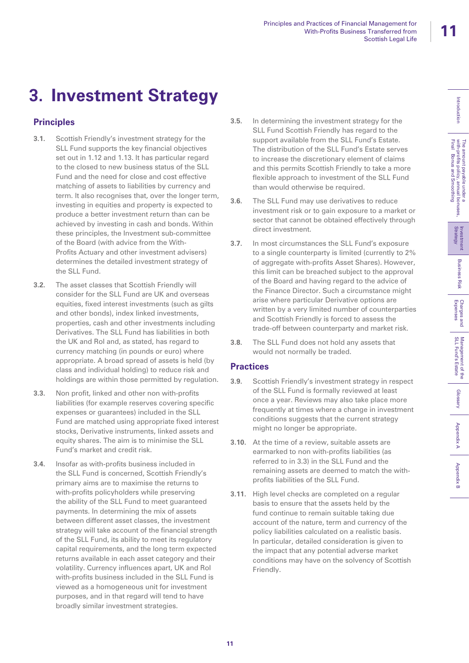# **3. Investment Strategy**

## **Principles**

- **3.1.** Scottish Friendly's investment strategy for the SLL Fund supports the key financial objectives set out in 1.12 and 1.13. It has particular regard to the closed to new business status of the SLL Fund and the need for close and cost effective matching of assets to liabilities by currency and term. It also recognises that, over the longer term, investing in equities and property is expected to produce a better investment return than can be achieved by investing in cash and bonds. Within these principles, the Investment sub-committee of the Board (with advice from the With-Profits Actuary and other investment advisers) determines the detailed investment strategy of the SLL Fund.
- **3.2.** The asset classes that Scottish Friendly will consider for the SLL Fund are UK and overseas equities, fixed interest investments (such as gilts and other bonds), index linked investments, properties, cash and other investments including Derivatives. The SLL Fund has liabilities in both the UK and RoI and, as stated, has regard to currency matching (in pounds or euro) where appropriate. A broad spread of assets is held (by class and individual holding) to reduce risk and holdings are within those permitted by regulation.
- **3.3.** Non profit, linked and other non with-profits liabilities (for example reserves covering specific expenses or guarantees) included in the SLL Fund are matched using appropriate fixed interest stocks, Derivative instruments, linked assets and equity shares. The aim is to minimise the SLL Fund's market and credit risk.
- **3.4.** Insofar as with-profits business included in the SLL Fund is concerned, Scottish Friendly's primary aims are to maximise the returns to with-profits policyholders while preserving the ability of the SLL Fund to meet guaranteed payments. In determining the mix of assets between different asset classes, the investment strategy will take account of the financial strength of the SLL Fund, its ability to meet its regulatory capital requirements, and the long term expected returns available in each asset category and their volatility. Currency influences apart, UK and RoI with-profits business included in the SLL Fund is viewed as a homogeneous unit for investment purposes, and in that regard will tend to have broadly similar investment strategies.
- **3.5.** In determining the investment strategy for the SLL Fund Scottish Friendly has regard to the support available from the SLL Fund's Estate. The distribution of the SLL Fund's Estate serves to increase the discretionary element of claims and this permits Scottish Friendly to take a more flexible approach to investment of the SLL Fund than would otherwise be required.
- **3.6.** The SLL Fund may use derivatives to reduce investment risk or to gain exposure to a market or sector that cannot be obtained effectively through direct investment.
- **3.7.** In most circumstances the SLL Fund's exposure to a single counterparty is limited (currently to 2% of aggregate with-profits Asset Shares). However, this limit can be breached subject to the approval of the Board and having regard to the advice of the Finance Director. Such a circumstance might arise where particular Derivative options are written by a very limited number of counterparties and Scottish Friendly is forced to assess the trade-off between counterparty and market risk.
- **3.8.** The SLL Fund does not hold any assets that would not normally be traded.

## **Practices**

- **3.9.** Scottish Friendly's investment strategy in respect of the SLL Fund is formally reviewed at least once a year. Reviews may also take place more frequently at times where a change in investment conditions suggests that the current strategy might no longer be appropriate.
- **3.10.** At the time of a review, suitable assets are earmarked to non with-profits liabilities (as referred to in 3.3) in the SLL Fund and the remaining assets are deemed to match the withprofits liabilities of the SLL Fund.
- **3.11.** High level checks are completed on a regular basis to ensure that the assets held by the fund continue to remain suitable taking due account of the nature, term and currency of the policy liabilities calculated on a realistic basis. In particular, detailed consideration is given to the impact that any potential adverse market conditions may have on the solvency of Scottish Friendly.

Charges and<br>Expenses

**Appendix B**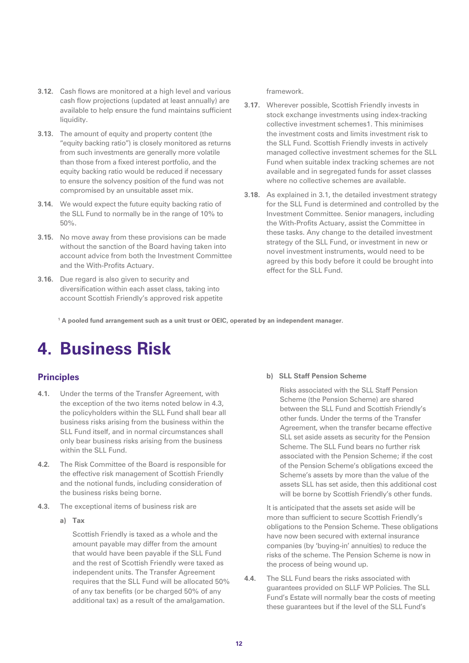- **3.12.** Cash flows are monitored at a high level and various cash flow projections (updated at least annually) are available to help ensure the fund maintains sufficient liquidity.
- **3.13.** The amount of equity and property content (the "equity backing ratio") is closely monitored as returns from such investments are generally more volatile than those from a fixed interest portfolio, and the equity backing ratio would be reduced if necessary to ensure the solvency position of the fund was not compromised by an unsuitable asset mix.
- **3.14.** We would expect the future equity backing ratio of the SLL Fund to normally be in the range of 10% to 50%.
- **3.15.** No move away from these provisions can be made without the sanction of the Board having taken into account advice from both the Investment Committee and the With-Profits Actuary.
- **3.16.** Due regard is also given to security and diversification within each asset class, taking into account Scottish Friendly's approved risk appetite

### framework.

- **3.17.** Wherever possible, Scottish Friendly invests in stock exchange investments using index-tracking collective investment schemes1. This minimises the investment costs and limits investment risk to the SLL Fund. Scottish Friendly invests in actively managed collective investment schemes for the SLL Fund when suitable index tracking schemes are not available and in segregated funds for asset classes where no collective schemes are available.
- **3.18.** As explained in 3.1, the detailed investment strategy for the SLL Fund is determined and controlled by the Investment Committee. Senior managers, including the With-Profits Actuary, assist the Committee in these tasks. Any change to the detailed investment strategy of the SLL Fund, or investment in new or novel investment instruments, would need to be agreed by this body before it could be brought into effect for the SLL Fund.

**1 A pooled fund arrangement such as a unit trust or OEIC, operated by an independent manager.**

## **4. Business Risk**

### **Principles**

- **4.1.** Under the terms of the Transfer Agreement, with the exception of the two items noted below in 4.3, the policyholders within the SLL Fund shall bear all business risks arising from the business within the SLL Fund itself, and in normal circumstances shall only bear business risks arising from the business within the SLL Fund.
- **4.2.** The Risk Committee of the Board is responsible for the effective risk management of Scottish Friendly and the notional funds, including consideration of the business risks being borne.
- **4.3.** The exceptional items of business risk are
	- **a) Tax**

Scottish Friendly is taxed as a whole and the amount payable may differ from the amount that would have been payable if the SLL Fund and the rest of Scottish Friendly were taxed as independent units. The Transfer Agreement requires that the SLL Fund will be allocated 50% of any tax benefits (or be charged 50% of any additional tax) as a result of the amalgamation.

### **b) SLL Staff Pension Scheme**

Risks associated with the SLL Staff Pension Scheme (the Pension Scheme) are shared between the SLL Fund and Scottish Friendly's other funds. Under the terms of the Transfer Agreement, when the transfer became effective SLL set aside assets as security for the Pension Scheme. The SLL Fund bears no further risk associated with the Pension Scheme; if the cost of the Pension Scheme's obligations exceed the Scheme's assets by more than the value of the assets SLL has set aside, then this additional cost will be borne by Scottish Friendly's other funds.

It is anticipated that the assets set aside will be more than sufficient to secure Scottish Friendly's obligations to the Pension Scheme. These obligations have now been secured with external insurance companies (by 'buying-in' annuities) to reduce the risks of the scheme. The Pension Scheme is now in the process of being wound up.

**4.4.** The SLL Fund bears the risks associated with guarantees provided on SLLF WP Policies. The SLL Fund's Estate will normally bear the costs of meeting these guarantees but if the level of the SLL Fund's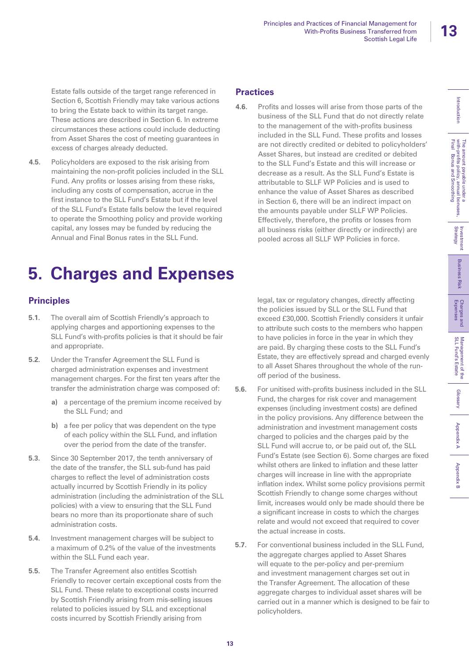Introduction

The amount payable under a<br>with-profits policy, annual bonuses,<br>Final Bonus and Smoothing

Glossary

Management of the<br>SLL Fund's Estate

Appendix B SLL Fund's Estate Management Smoothing Management of the Strategy Incondix Bonus and Smoothing Strategy<br>Introduction With-profits policy, annual bonuses, Strategy<br>Final Bonus and Smoothing Strategy

Charges and<br>Expenses

**Business Risk** 

Investment<br>Strategy

Appendix A

Appendix A

**Appendix B** 

Estate falls outside of the target range referenced in Section 6, Scottish Friendly may take various actions to bring the Estate back to within its target range. These actions are described in Section 6. In extreme circumstances these actions could include deducting from Asset Shares the cost of meeting guarantees in excess of charges already deducted.

**4.5.** Policyholders are exposed to the risk arising from maintaining the non-profit policies included in the SLL Fund. Any profits or losses arising from these risks, including any costs of compensation, accrue in the first instance to the SLL Fund's Estate but if the level of the SLL Fund's Estate falls below the level required to operate the Smoothing policy and provide working capital, any losses may be funded by reducing the Annual and Final Bonus rates in the SLL Fund.

## **Practices**

**4.6.** Profits and losses will arise from those parts of the business of the SLL Fund that do not directly relate to the management of the with-profits business included in the SLL Fund. These profits and losses are not directly credited or debited to policyholders' Asset Shares, but instead are credited or debited to the SLL Fund's Estate and this will increase or decrease as a result. As the SLL Fund's Estate is attributable to SLLF WP Policies and is used to enhance the value of Asset Shares as described in Section 6, there will be an indirect impact on the amounts payable under SLLF WP Policies. Effectively, therefore, the profits or losses from all business risks (either directly or indirectly) are pooled across all SLLF WP Policies in force.

## **5. Charges and Expenses**

### **Principles**

- **5.1.** The overall aim of Scottish Friendly's approach to applying charges and apportioning expenses to the SLL Fund's with-profits policies is that it should be fair and appropriate.
- **5.2.** Under the Transfer Agreement the SLL Fund is charged administration expenses and investment management charges. For the first ten years after the transfer the administration charge was composed of:
	- **a)** a percentage of the premium income received by the SLL Fund; and
	- **b)** a fee per policy that was dependent on the type of each policy within the SLL Fund, and inflation over the period from the date of the transfer.
- **5.3.** Since 30 September 2017, the tenth anniversary of the date of the transfer, the SLL sub-fund has paid charges to reflect the level of administration costs actually incurred by Scottish Friendly in its policy administration (including the administration of the SLL policies) with a view to ensuring that the SLL Fund bears no more than its proportionate share of such administration costs.
- **5.4.** Investment management charges will be subject to a maximum of 0.2% of the value of the investments within the SLL Fund each year.
- **5.5.** The Transfer Agreement also entitles Scottish Friendly to recover certain exceptional costs from the SLL Fund. These relate to exceptional costs incurred by Scottish Friendly arising from mis-selling issues related to policies issued by SLL and exceptional costs incurred by Scottish Friendly arising from

legal, tax or regulatory changes, directly affecting the policies issued by SLL or the SLL Fund that exceed £30,000. Scottish Friendly considers it unfair to attribute such costs to the members who happen to have policies in force in the year in which they are paid. By charging these costs to the SLL Fund's Estate, they are effectively spread and charged evenly to all Asset Shares throughout the whole of the runoff period of the business.

- **5.6.** For unitised with-profits business included in the SLL Fund, the charges for risk cover and management expenses (including investment costs) are defined in the policy provisions. Any difference between the administration and investment management costs charged to policies and the charges paid by the SLL Fund will accrue to, or be paid out of, the SLL Fund's Estate (see Section 6). Some charges are fixed whilst others are linked to inflation and these latter charges will increase in line with the appropriate inflation index. Whilst some policy provisions permit Scottish Friendly to change some charges without limit, increases would only be made should there be a significant increase in costs to which the charges relate and would not exceed that required to cover the actual increase in costs.
- **5.7.** For conventional business included in the SLL Fund, the aggregate charges applied to Asset Shares will equate to the per-policy and per-premium and investment management charges set out in the Transfer Agreement. The allocation of these aggregate charges to individual asset shares will be carried out in a manner which is designed to be fair to policyholders.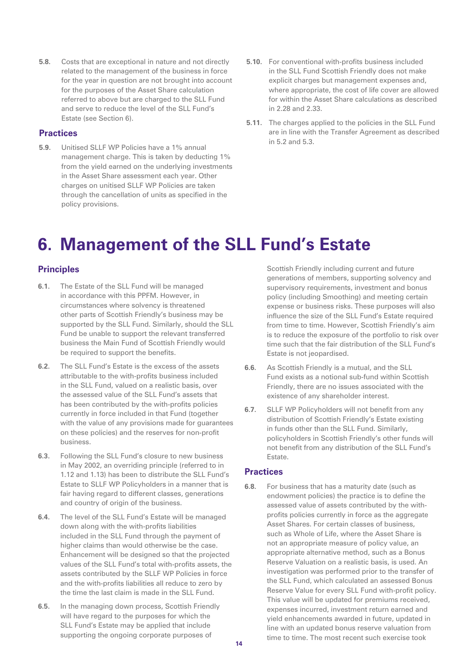**5.8.** Costs that are exceptional in nature and not directly related to the management of the business in force for the year in question are not brought into account for the purposes of the Asset Share calculation referred to above but are charged to the SLL Fund and serve to reduce the level of the SLL Fund's Estate (see Section 6).

### **Practices**

- **5.9.** Unitised SLLF WP Policies have a 1% annual management charge. This is taken by deducting 1% from the yield earned on the underlying investments in the Asset Share assessment each year. Other charges on unitised SLLF WP Policies are taken through the cancellation of units as specified in the policy provisions.
- **5.10.** For conventional with-profits business included in the SLL Fund Scottish Friendly does not make explicit charges but management expenses and, where appropriate, the cost of life cover are allowed for within the Asset Share calculations as described in 2.28 and 2.33.
- **5.11.** The charges applied to the policies in the SLL Fund are in line with the Transfer Agreement as described in 5.2 and 5.3.

## **6. Management of the SLL Fund's Estate**

### **Principles**

- **6.1.** The Estate of the SLL Fund will be managed in accordance with this PPFM. However, in circumstances where solvency is threatened other parts of Scottish Friendly's business may be supported by the SLL Fund. Similarly, should the SLL Fund be unable to support the relevant transferred business the Main Fund of Scottish Friendly would be required to support the benefits.
- **6.2.** The SLL Fund's Estate is the excess of the assets attributable to the with-profits business included in the SLL Fund, valued on a realistic basis, over the assessed value of the SLL Fund's assets that has been contributed by the with-profits policies currently in force included in that Fund (together with the value of any provisions made for guarantees on these policies) and the reserves for non-profit business.
- **6.3.** Following the SLL Fund's closure to new business in May 2002, an overriding principle (referred to in 1.12 and 1.13) has been to distribute the SLL Fund's Estate to SLLF WP Policyholders in a manner that is fair having regard to different classes, generations and country of origin of the business.
- **6.4.** The level of the SLL Fund's Estate will be managed down along with the with-profits liabilities included in the SLL Fund through the payment of higher claims than would otherwise be the case. Enhancement will be designed so that the projected values of the SLL Fund's total with-profits assets, the assets contributed by the SLLF WP Policies in force and the with-profits liabilities all reduce to zero by the time the last claim is made in the SLL Fund.
- **6.5.** In the managing down process, Scottish Friendly will have regard to the purposes for which the SLL Fund's Estate may be applied that include supporting the ongoing corporate purposes of

Scottish Friendly including current and future generations of members, supporting solvency and supervisory requirements, investment and bonus policy (including Smoothing) and meeting certain expense or business risks. These purposes will also influence the size of the SLL Fund's Estate required from time to time. However, Scottish Friendly's aim is to reduce the exposure of the portfolio to risk over time such that the fair distribution of the SLL Fund's Estate is not jeopardised.

- **6.6.** As Scottish Friendly is a mutual, and the SLL Fund exists as a notional sub-fund within Scottish Friendly, there are no issues associated with the existence of any shareholder interest.
- **6.7.** SLLF WP Policyholders will not benefit from any distribution of Scottish Friendly's Estate existing in funds other than the SLL Fund. Similarly, policyholders in Scottish Friendly's other funds will not benefit from any distribution of the SLL Fund's Estate.

### **Practices**

**6.8.** For business that has a maturity date (such as endowment policies) the practice is to define the assessed value of assets contributed by the withprofits policies currently in force as the aggregate Asset Shares. For certain classes of business, such as Whole of Life, where the Asset Share is not an appropriate measure of policy value, an appropriate alternative method, such as a Bonus Reserve Valuation on a realistic basis, is used. An investigation was performed prior to the transfer of the SLL Fund, which calculated an assessed Bonus Reserve Value for every SLL Fund with-profit policy. This value will be updated for premiums received, expenses incurred, investment return earned and yield enhancements awarded in future, updated in line with an updated bonus reserve valuation from time to time. The most recent such exercise took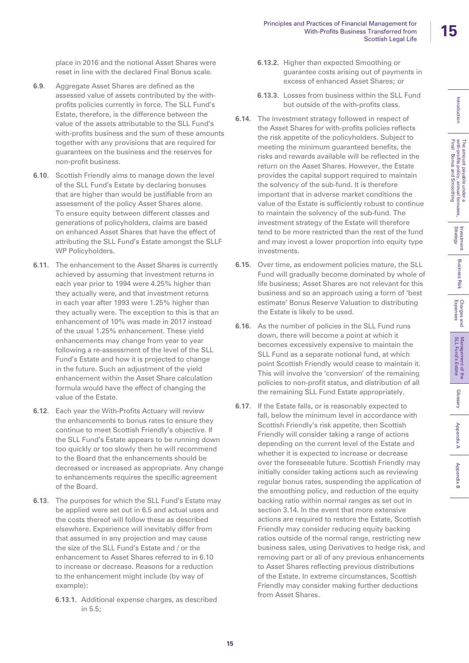place in 2016 and the notional Asset Shares were reset in line with the declared Final Bonus scale.

- **6.9.** Aggregate Asset Shares are defined as the assessed value of assets contributed by the withprofits policies currently in force. The SLL Fund's Estate, therefore, is the difference between the value of the assets attributable to the SLL Fund's with-profits business and the sum of these amounts together with any provisions that are required for guarantees on the business and the reserves for non-profit business.
- **6.10.** Scottish Friendly aims to manage down the level of the SLL Fund's Estate by declaring bonuses that are higher than would be justifiable from an assessment of the policy Asset Shares alone. To ensure equity between different classes and generations of policyholders, claims are based on enhanced Asset Shares that have the effect of attributing the SLL Fund's Estate amongst the SLLF WP Policyholders.
- **6.11.** The enhancement to the Asset Shares is currently achieved by assuming that investment returns in each year prior to 1994 were 4.25% higher than they actually were, and that investment returns in each year after 1993 were 1.25% higher than they actually were. The exception to this is that an enhancement of 10% was made in 2017 instead of the usual 1.25% enhancement. These yield enhancements may change from year to year following a re-assessment of the level of the SLL Fund's Estate and how it is projected to change in the future. Such an adjustment of the yield enhancement within the Asset Share calculation formula would have the effect of changing the value of the Estate.
- **6.12.** Each year the With-Profits Actuary will review the enhancements to bonus rates to ensure they continue to meet Scottish Friendly's objective. If the SLL Fund's Estate appears to be running down too quickly or too slowly then he will recommend to the Board that the enhancements should be decreased or increased as appropriate. Any change to enhancements requires the specific agreement of the Board.
- **6.13.** The purposes for which the SLL Fund's Estate may be applied were set out in 6.5 and actual uses and the costs thereof will follow these as described elsewhere. Experience will inevitably differ from that assumed in any projection and may cause the size of the SLL Fund's Estate and / or the enhancement to Asset Shares referred to in 6.10 to increase or decrease. Reasons for a reduction to the enhancement might include (by way of example):
	- **6.13.1.** Additional expense charges, as described in 5.5;
- **6.13.2.** Higher than expected Smoothing or guarantee costs arising out of payments in excess of enhanced Asset Shares; or
- **6.13.3.** Losses from business within the SLL Fund but outside of the with-profits class.
- **6.14.** The investment strategy followed in respect of the Asset Shares for with-profits policies reflects the risk appetite of the policyholders. Subject to meeting the minimum guaranteed benefits, the risks and rewards available will be reflected in the return on the Asset Shares. However, the Estate provides the capital support required to maintain the solvency of the sub-fund. It is therefore important that in adverse market conditions the value of the Estate is sufficiently robust to continue to maintain the solvency of the sub-fund. The investment strategy of the Estate will therefore tend to be more restricted than the rest of the fund and may invest a lower proportion into equity type investments.
- **6.15.** Over time, as endowment policies mature, the SLL Fund will gradually become dominated by whole of life business; Asset Shares are not relevant for this business and so an approach using a form of 'best estimate' Bonus Reserve Valuation to distributing the Estate is likely to be used.
- **6.16.** As the number of policies in the SLL Fund runs down, there will become a point at which it becomes excessively expensive to maintain the SLL Fund as a separate notional fund, at which point Scottish Friendly would cease to maintain it. This will involve the 'conversion' of the remaining policies to non-profit status, and distribution of all the remaining SLL Fund Estate appropriately.
- **6.17.** If the Estate falls, or is reasonably expected to fall, below the minimum level in accordance with Scottish Friendly's risk appetite, then Scottish Friendly will consider taking a range of actions depending on the current level of the Estate and whether it is expected to increase or decrease over the foreseeable future. Scottish Friendly may initially consider taking actions such as reviewing regular bonus rates, suspending the application of the smoothing policy, and reduction of the equity backing ratio within normal ranges as set out in section 3.14. In the event that more extensive actions are required to restore the Estate, Scottish Friendly may consider reducing equity backing ratios outside of the normal range, restricting new business sales, using Derivatives to hedge risk, and removing part or all of any previous enhancements to Asset Shares reflecting previous distributions of the Estate. In extreme circumstances, Scottish Friendly may consider making further deductions from Asset Shares.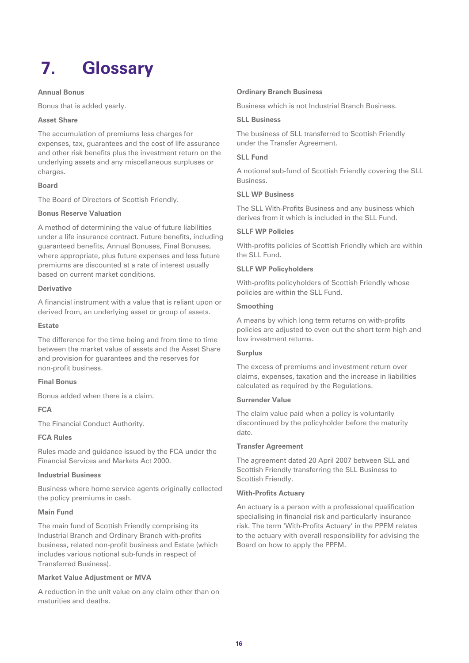# **7. Glossary**

### **Annual Bonus**

Bonus that is added yearly.

### **Asset Share**

The accumulation of premiums less charges for expenses, tax, guarantees and the cost of life assurance and other risk benefits plus the investment return on the underlying assets and any miscellaneous surpluses or charges.

### **Board**

The Board of Directors of Scottish Friendly.

### **Bonus Reserve Valuation**

A method of determining the value of future liabilities under a life insurance contract. Future benefits, including guaranteed benefits, Annual Bonuses, Final Bonuses, where appropriate, plus future expenses and less future premiums are discounted at a rate of interest usually based on current market conditions.

### **Derivative**

A financial instrument with a value that is reliant upon or derived from, an underlying asset or group of assets.

### **Estate**

The difference for the time being and from time to time between the market value of assets and the Asset Share and provision for guarantees and the reserves for non-profit business.

### **Final Bonus**

Bonus added when there is a claim.

### **FCA**

The Financial Conduct Authority.

### **FCA Rules**

Rules made and guidance issued by the FCA under the Financial Services and Markets Act 2000.

### **Industrial Business**

Business where home service agents originally collected the policy premiums in cash.

### **Main Fund**

The main fund of Scottish Friendly comprising its Industrial Branch and Ordinary Branch with-profits business, related non-profit business and Estate (which includes various notional sub-funds in respect of Transferred Business).

### **Market Value Adjustment or MVA**

A reduction in the unit value on any claim other than on maturities and deaths.

### **Ordinary Branch Business**

Business which is not Industrial Branch Business.

### **SLL Business**

The business of SLL transferred to Scottish Friendly under the Transfer Agreement.

#### **SLL Fund**

A notional sub-fund of Scottish Friendly covering the SLL **Busingss** 

### **SLL WP Business**

The SLL With-Profits Business and any business which derives from it which is included in the SLL Fund.

### **SLLF WP Policies**

With-profits policies of Scottish Friendly which are within the SLL Fund.

### **SLLF WP Policyholders**

With-profits policyholders of Scottish Friendly whose policies are within the SLL Fund.

### **Smoothing**

A means by which long term returns on with-profits policies are adjusted to even out the short term high and low investment returns.

### **Surplus**

The excess of premiums and investment return over claims, expenses, taxation and the increase in liabilities calculated as required by the Regulations.

### **Surrender Value**

The claim value paid when a policy is voluntarily discontinued by the policyholder before the maturity date.

#### **Transfer Agreement**

The agreement dated 20 April 2007 between SLL and Scottish Friendly transferring the SLL Business to Scottish Friendly.

#### **With-Profits Actuary**

An actuary is a person with a professional qualification specialising in financial risk and particularly insurance risk. The term 'With-Profits Actuary' in the PPFM relates to the actuary with overall responsibility for advising the Board on how to apply the PPFM.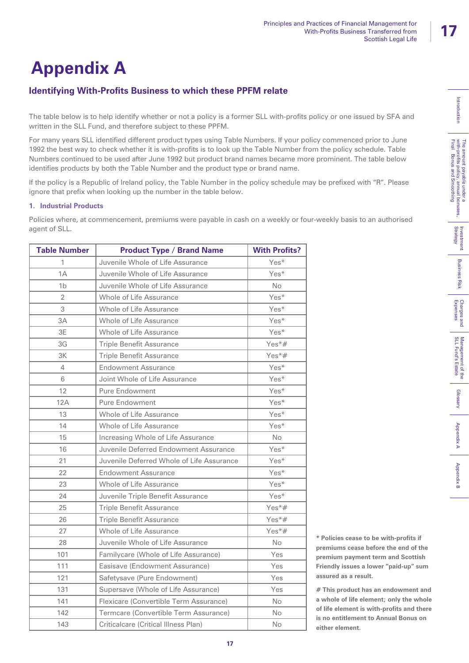Introduction

The amount payable under a<br>with-profits policy, annual bonuses,<br>Final Bonus and Smoothing

Appendix B Expenses Charges and Business and Business Risk Strategy Investment of the Management of the Glossary International Mapendix Bonus and Smoothing Strategy<br>Introduction Pinal Bonus and Smoothing Strategy Strategy

Charges and<br>Expenses

Management of the<br>SLL Fund's Estate

Glossary

Appendix A

Appendix B

**Business** Risk

Investment<br>Strategy

# **Appendix A**

## **Identifying With-Profits Business to which these PPFM relate**

The table below is to help identify whether or not a policy is a former SLL with-profits policy or one issued by SFA and written in the SLL Fund, and therefore subject to these PPFM.

For many years SLL identified different product types using Table Numbers. If your policy commenced prior to June 1992 the best way to check whether it is with-profits is to look up the Table Number from the policy schedule. Table Numbers continued to be used after June 1992 but product brand names became more prominent. The table below identifies products by both the Table Number and the product type or brand name.

If the policy is a Republic of Ireland policy, the Table Number in the policy schedule may be prefixed with "R". Please ignore that prefix when looking up the number in the table below.

## **1. Industrial Products**

Policies where, at commencement, premiums were payable in cash on a weekly or four-weekly basis to an authorised agent of SLL.

| <b>Table Number</b> | <b>Product Type / Brand Name</b>          | <b>With Profits?</b> |
|---------------------|-------------------------------------------|----------------------|
| 1                   | Juvenile Whole of Life Assurance          | Yes*                 |
| 1A                  | Juvenile Whole of Life Assurance          | Yes*                 |
| 1 <sub>b</sub>      | Juvenile Whole of Life Assurance          | <b>No</b>            |
| $\overline{2}$      | Whole of Life Assurance                   | Yes*                 |
| 3                   | Whole of Life Assurance                   | Yes*                 |
| 3A                  | Whole of Life Assurance                   | Yes*                 |
| 3E                  | Whole of Life Assurance                   | Yes*                 |
| 3G                  | <b>Triple Benefit Assurance</b>           | Yes*#                |
| 3K                  | <b>Triple Benefit Assurance</b>           | Yes*#                |
| 4                   | <b>Endowment Assurance</b>                | Yes*                 |
| 6                   | Joint Whole of Life Assurance             | Yes*                 |
| 12                  | <b>Pure Endowment</b>                     | Yes*                 |
| 12A                 | <b>Pure Endowment</b>                     | Yes*                 |
| 13                  | Whole of Life Assurance                   | Yes*                 |
| 14                  | Whole of Life Assurance                   | Yes*                 |
| 15                  | Increasing Whole of Life Assurance        | <b>No</b>            |
| 16                  | Juvenile Deferred Endowment Assurance     | Yes*                 |
| 21                  | Juvenile Deferred Whole of Life Assurance | Yes*                 |
| 22                  | <b>Endowment Assurance</b>                | Yes*                 |
| 23                  | Whole of Life Assurance                   | Yes*                 |
| 24                  | Juvenile Triple Benefit Assurance         | Yes*                 |
| 25                  | <b>Triple Benefit Assurance</b>           | Yes*#                |
| 26                  | <b>Triple Benefit Assurance</b>           | $Yes*#$              |
| 27                  | Whole of Life Assurance                   | $Yes*#$              |
| 28                  | Juvenile Whole of Life Assurance          | <b>No</b>            |
| 101                 | Familycare (Whole of Life Assurance)      | Yes                  |
| 111                 | Easisave (Endowment Assurance)            | Yes                  |
| 121                 | Safetysave (Pure Endowment)               | Yes                  |
| 131                 | Supersave (Whole of Life Assurance)       | Yes                  |
| 141                 | Flexicare (Convertible Term Assurance)    | <b>No</b>            |
| 142                 | Termcare (Convertible Term Assurance)     | No                   |
| 143                 | Criticalcare (Critical Illness Plan)      | No                   |

**\* Policies cease to be with-profits if premiums cease before the end of the premium payment term and Scottish Friendly issues a lower "paid-up" sum assured as a result.**

**# This product has an endowment and a whole of life element; only the whole of life element is with-profits and there is no entitlement to Annual Bonus on either element.**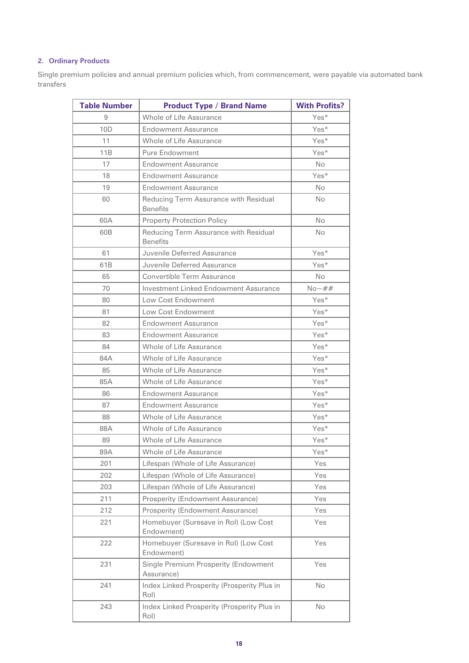### **2. Ordinary Products**

Single premium policies and annual premium policies which, from commencement, were payable via automated bank transfers

| <b>Table Number</b> | <b>Product Type / Brand Name</b>                         | <b>With Profits?</b> |
|---------------------|----------------------------------------------------------|----------------------|
| 9                   | Whole of Life Assurance                                  | $Yes*$               |
| 10D                 | <b>Endowment Assurance</b>                               | Yes*                 |
| 11                  | Whole of Life Assurance                                  | Yes*                 |
| 11B                 | <b>Pure Endowment</b>                                    | Yes*                 |
| 17                  | <b>Endowment Assurance</b>                               | <b>No</b>            |
| 18                  | <b>Endowment Assurance</b>                               | Yes*                 |
| 19                  | <b>Endowment Assurance</b>                               | <b>No</b>            |
| 60                  | Reducing Term Assurance with Residual<br><b>Benefits</b> | <b>No</b>            |
| 60A                 | <b>Property Protection Policy</b>                        | <b>No</b>            |
| 60B                 | Reducing Term Assurance with Residual<br><b>Benefits</b> | <b>No</b>            |
| 61                  | Juvenile Deferred Assurance                              | Yes*                 |
| 61B                 | Juvenile Deferred Assurance                              | Yes*                 |
| 65                  | Convertible Term Assurance                               | No                   |
| 70                  | Investment Linked Endowment Assurance                    | $No - ##$            |
| 80                  | Low Cost Endowment                                       | Yes*                 |
| 81                  | Low Cost Endowment                                       | Yes*                 |
| 82                  | <b>Endowment Assurance</b>                               | Yes*                 |
| 83                  | <b>Endowment Assurance</b>                               | Yes*                 |
| 84                  | Whole of Life Assurance                                  | Yes*                 |
| 84A                 | Whole of Life Assurance                                  | Yes*                 |
| 85                  | Whole of Life Assurance                                  | Yes*                 |
| 85A                 | Whole of Life Assurance                                  | Yes*                 |
| 86                  | <b>Endowment Assurance</b>                               | Yes*                 |
| 87                  | <b>Endowment Assurance</b>                               | Yes*                 |
| 88                  | Whole of Life Assurance                                  | Yes*                 |
| 88A                 | Whole of Life Assurance                                  | $Yes*$               |
| 89                  | Whole of Life Assurance                                  | Yes*                 |
| 89A                 | Whole of Life Assurance                                  | Yes*                 |
| 201                 | Lifespan (Whole of Life Assurance)                       | Yes                  |
| 202                 | Lifespan (Whole of Life Assurance)                       | Yes                  |
| 203                 | Lifespan (Whole of Life Assurance)                       | Yes                  |
| 211                 | Prosperity (Endowment Assurance)                         | Yes                  |
| 212                 | Prosperity (Endowment Assurance)                         | Yes                  |
| 221                 | Homebuyer (Suresave in Rol) (Low Cost<br>Endowment)      | Yes                  |
| 222                 | Homebuyer (Suresave in Rol) (Low Cost<br>Endowment)      | Yes                  |
| 231                 | Single Premium Prosperity (Endowment<br>Assurance)       | Yes                  |
| 241                 | Index Linked Prosperity (Prosperity Plus in<br>Rol)      | No                   |
| 243                 | Index Linked Prosperity (Prosperity Plus in<br>Rol)      | No                   |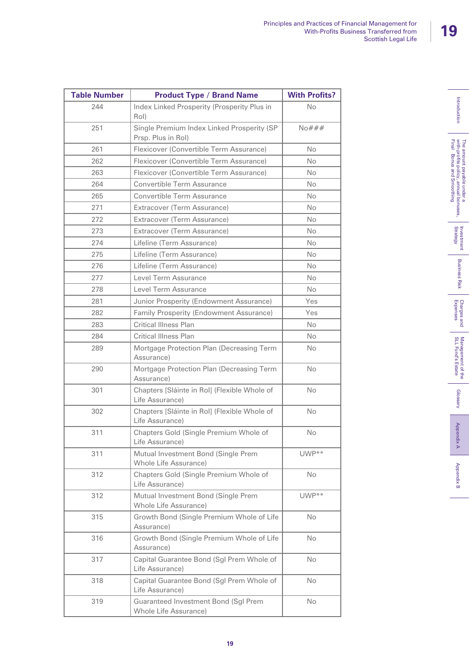| ┇                                                                                                                                         |
|-------------------------------------------------------------------------------------------------------------------------------------------|
| l<br>Final<br><b>NITh</b><br>į<br>ъ<br>Р<br>Í<br>į<br>;<br>Ì<br>5<br>$\frac{1}{3}$<br>۱<br>í<br>ź<br>j<br>uoq Ieni<br>ś<br>≀<br>ż<br>sesn |
| mve<br><b>Strate</b><br>f                                                                                                                 |
| Ť                                                                                                                                         |
| Expenses<br>Charg<br><b>Pa</b> alla                                                                                                       |
| F<br>isl<br>ī                                                                                                                             |
| Glossary<br>ć                                                                                                                             |

| <b>Table Number</b> | <b>Product Type / Brand Name</b>                                 | <b>With Profits?</b> |
|---------------------|------------------------------------------------------------------|----------------------|
| 244                 | Index Linked Prosperity (Prosperity Plus in<br>Rol)              | <b>No</b>            |
| 251                 | Single Premium Index Linked Prosperity (SP<br>Prsp. Plus in Rol) | No###                |
| 261                 | Flexicover (Convertible Term Assurance)                          | <b>No</b>            |
| 262                 | Flexicover (Convertible Term Assurance)                          | <b>No</b>            |
| 263                 | Flexicover (Convertible Term Assurance)                          | No                   |
| 264                 | Convertible Term Assurance                                       | <b>No</b>            |
| 265                 | Convertible Term Assurance                                       | <b>No</b>            |
| 271                 | Extracover (Term Assurance)                                      | <b>No</b>            |
| 272                 | Extracover (Term Assurance)                                      | <b>No</b>            |
| 273                 | Extracover (Term Assurance)                                      | No.                  |
| 274                 | Lifeline (Term Assurance)                                        | <b>No</b>            |
| 275                 | Lifeline (Term Assurance)                                        | <b>No</b>            |
| 276                 | Lifeline (Term Assurance)                                        | N <sub>o</sub>       |
| 277                 | Level Term Assurance                                             | <b>No</b>            |
| 278                 | Level Term Assurance                                             | <b>No</b>            |
| 281                 | Junior Prosperity (Endowment Assurance)                          | Yes                  |
| 282                 | Family Prosperity (Endowment Assurance)                          | Yes                  |
| 283                 | <b>Critical Illness Plan</b>                                     | No.                  |
| 284                 | <b>Critical Illness Plan</b>                                     | N <sub>o</sub>       |
| 289                 | Mortgage Protection Plan (Decreasing Term<br>Assurance)          | No                   |
| 290                 | Mortgage Protection Plan (Decreasing Term<br>Assurance)          | <b>No</b>            |
| 301                 | Chapters [Sláinte in Rol] (Flexible Whole of<br>Life Assurance)  | <b>No</b>            |
| 302                 | Chapters [Sláinte in Rol] (Flexible Whole of<br>Life Assurance)  | <b>No</b>            |
| 311                 | Chapters Gold (Single Premium Whole of<br>Life Assurance)        | <b>No</b>            |
| 311                 | Mutual Investment Bond (Single Prem<br>Whole Life Assurance)     | $UWP**$              |
| 312                 | Chapters Gold (Single Premium Whole of<br>Life Assurance)        | <b>No</b>            |
| 312                 | Mutual Investment Bond (Single Prem<br>Whole Life Assurance)     | $UWP**$              |
| 315                 | Growth Bond (Single Premium Whole of Life<br>Assurance)          | <b>No</b>            |
| 316                 | Growth Bond (Single Premium Whole of Life<br>Assurance)          | No.                  |
| 317                 | Capital Guarantee Bond (Sgl Prem Whole of<br>Life Assurance)     | No.                  |
| 318                 | Capital Guarantee Bond (Sgl Prem Whole of<br>Life Assurance)     | No                   |
| 319                 | Guaranteed Investment Bond (Sgl Prem<br>Whole Life Assurance)    | No.                  |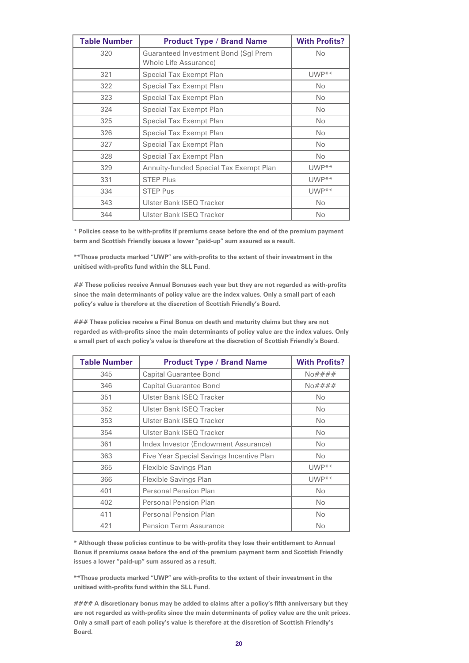| <b>Table Number</b> | <b>Product Type / Brand Name</b>                                     | <b>With Profits?</b> |
|---------------------|----------------------------------------------------------------------|----------------------|
| 320                 | <b>Guaranteed Investment Bond (Sgl Prem</b><br>Whole Life Assurance) | No.                  |
| 321                 | Special Tax Exempt Plan                                              | $UWP**$              |
| 322                 | Special Tax Exempt Plan                                              | No.                  |
| 323                 | Special Tax Exempt Plan                                              | No.                  |
| 324                 | Special Tax Exempt Plan                                              | <b>No</b>            |
| 325                 | Special Tax Exempt Plan                                              | No.                  |
| 326                 | Special Tax Exempt Plan                                              | <b>No</b>            |
| 327                 | Special Tax Exempt Plan                                              | No.                  |
| 328                 | Special Tax Exempt Plan                                              | No.                  |
| 329                 | Annuity-funded Special Tax Exempt Plan                               | $UWP**$              |
| 331                 | <b>STEP Plus</b>                                                     | UWP**                |
| 334                 | <b>STEP Pus</b>                                                      | $UWP**$              |
| 343                 | Ulster Bank ISEQ Tracker                                             | <b>No</b>            |
| 344                 | Ulster Bank ISEQ Tracker                                             | <b>No</b>            |

**\* Policies cease to be with-profits if premiums cease before the end of the premium payment term and Scottish Friendly issues a lower "paid-up" sum assured as a result.**

**\*\*Those products marked "UWP" are with-profits to the extent of their investment in the unitised with-profits fund within the SLL Fund.**

**## These policies receive Annual Bonuses each year but they are not regarded as with-profits since the main determinants of policy value are the index values. Only a small part of each policy's value is therefore at the discretion of Scottish Friendly's Board.**

**### These policies receive a Final Bonus on death and maturity claims but they are not regarded as with-profits since the main determinants of policy value are the index values. Only a small part of each policy's value is therefore at the discretion of Scottish Friendly's Board.**

| <b>Table Number</b> | <b>Product Type / Brand Name</b>         | <b>With Profits?</b> |
|---------------------|------------------------------------------|----------------------|
| 345                 | <b>Capital Guarantee Bond</b>            | No####               |
| 346                 | <b>Capital Guarantee Bond</b>            | $N$ o####            |
| 351                 | Ulster Bank ISEQ Tracker                 | <b>No</b>            |
| 352                 | Ulster Bank ISEQ Tracker                 | <b>No</b>            |
| 353                 | Ulster Bank ISEQ Tracker                 | No.                  |
| 354                 | <b>Ulster Bank ISEQ Tracker</b>          | No.                  |
| 361                 | Index Investor (Endowment Assurance)     | No.                  |
| 363                 | Five Year Special Savings Incentive Plan | <b>No</b>            |
| 365                 | Flexible Savings Plan                    | UWP**                |
| 366                 | Flexible Savings Plan                    | $UWP**$              |
| 401                 | Personal Pension Plan                    | <b>No</b>            |
| 402                 | Personal Pension Plan                    | <b>No</b>            |
| 411                 | Personal Pension Plan                    | No.                  |
| 421                 | <b>Pension Term Assurance</b>            | No                   |

**\* Although these policies continue to be with-profits they lose their entitlement to Annual Bonus if premiums cease before the end of the premium payment term and Scottish Friendly issues a lower "paid-up" sum assured as a result.**

**\*\*Those products marked "UWP" are with-profits to the extent of their investment in the unitised with-profits fund within the SLL Fund.**

**#### A discretionary bonus may be added to claims after a policy's fifth anniversary but they are not regarded as with-profits since the main determinants of policy value are the unit prices. Only a small part of each policy's value is therefore at the discretion of Scottish Friendly's Board.**